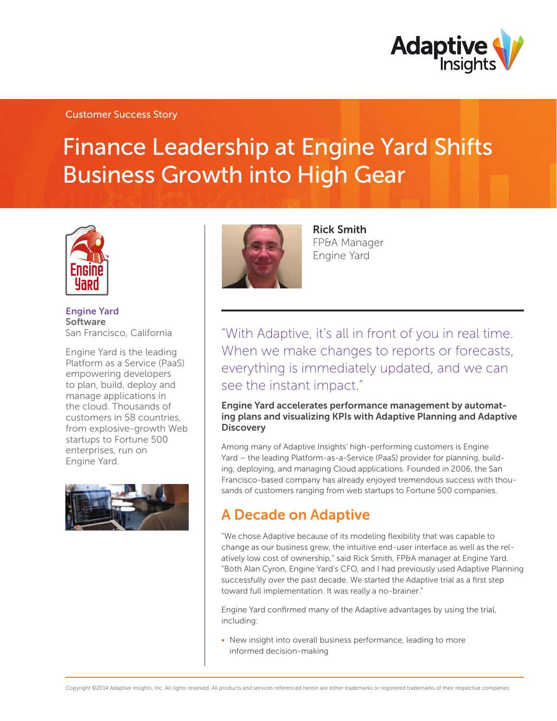

## Customer Success Story

# Finance Leadership at Engine Yard Shifts Business Growth into High Gear



Engine Yard Software San Francisco, California

Engine Yard is the leading Platform as a Service (PaaS) empowering developers to plan, build, deploy and manage applications in the cloud. Thousands of customers in 58 countries, from explosive-growth Web startups to Fortune 500 enterprises, run on Engine Yard.





Rick Smith FP&A Manager Engine Yard

"With Adaptive, it's all in front of you in real time. When we make changes to reports or forecasts, everything is immediately updated, and we can see the instant impact."

### Engine Yard accelerates performance management by automating plans and visualizing KPIs with Adaptive Planning and Adaptive **Discovery**

Among many of Adaptive Insights' high-performing customers is Engine Yard – the leading Platform-as-a-Service (PaaS) provider for planning, building, deploying, and managing Cloud applications. Founded in 2006, the San Francisco-based company has already enjoyed tremendous success with thousands of customers ranging from web startups to Fortune 500 companies.

# A Decade on Adaptive

"We chose Adaptive because of its modeling flexibility that was capable to change as our business grew, the intuitive end-user interface as well as the relatively low cost of ownership," said Rick Smith, FP&A manager at Engine Yard. "Both Alan Cyron, Engine Yard's CFO, and I had previously used Adaptive Planning successfully over the past decade. We started the Adaptive trial as a first step toward full implementation. It was really a no-brainer."

Engine Yard confirmed many of the Adaptive advantages by using the trial, including:

• New insight into overall business performance, leading to more informed decision-making